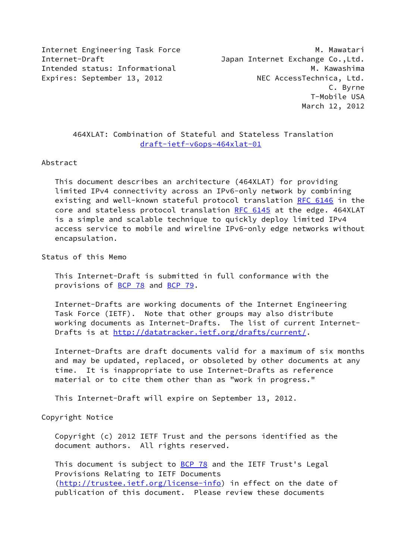Internet Engineering Task Force Manual Manual M. Mawatari Internet-Draft Japan Internet Exchange Co.,Ltd. Intended status: Informational M. Kawashima Expires: September 13, 2012 NEC AccessTechnica, Ltd. C. Byrne T-Mobile USA March 12, 2012

 464XLAT: Combination of Stateful and Stateless Translation [draft-ietf-v6ops-464xlat-01](https://datatracker.ietf.org/doc/pdf/draft-ietf-v6ops-464xlat-01)

#### Abstract

 This document describes an architecture (464XLAT) for providing limited IPv4 connectivity across an IPv6-only network by combining existing and well-known stateful protocol translation [RFC 6146](https://datatracker.ietf.org/doc/pdf/rfc6146) in the core and stateless protocol translation [RFC 6145](https://datatracker.ietf.org/doc/pdf/rfc6145) at the edge. 464XLAT is a simple and scalable technique to quickly deploy limited IPv4 access service to mobile and wireline IPv6-only edge networks without encapsulation.

Status of this Memo

 This Internet-Draft is submitted in full conformance with the provisions of [BCP 78](https://datatracker.ietf.org/doc/pdf/bcp78) and [BCP 79](https://datatracker.ietf.org/doc/pdf/bcp79).

 Internet-Drafts are working documents of the Internet Engineering Task Force (IETF). Note that other groups may also distribute working documents as Internet-Drafts. The list of current Internet- Drafts is at<http://datatracker.ietf.org/drafts/current/>.

 Internet-Drafts are draft documents valid for a maximum of six months and may be updated, replaced, or obsoleted by other documents at any time. It is inappropriate to use Internet-Drafts as reference material or to cite them other than as "work in progress."

This Internet-Draft will expire on September 13, 2012.

Copyright Notice

 Copyright (c) 2012 IETF Trust and the persons identified as the document authors. All rights reserved.

This document is subject to **[BCP 78](https://datatracker.ietf.org/doc/pdf/bcp78)** and the IETF Trust's Legal Provisions Relating to IETF Documents [\(http://trustee.ietf.org/license-info](http://trustee.ietf.org/license-info)) in effect on the date of publication of this document. Please review these documents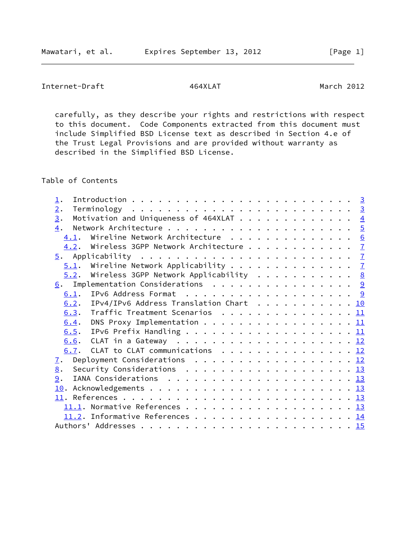Internet-Draft 164XLAT 164XLAT March 2012

 carefully, as they describe your rights and restrictions with respect to this document. Code Components extracted from this document must include Simplified BSD License text as described in Section 4.e of the Trust Legal Provisions and are provided without warranty as described in the Simplified BSD License.

Table of Contents

| $\perp$ .                                                                                            |  |
|------------------------------------------------------------------------------------------------------|--|
| 2.                                                                                                   |  |
| $\overline{3}$ .<br>Motivation and Uniqueness of 464XLAT $\frac{4}{5}$                               |  |
| 4.                                                                                                   |  |
| 4.1. Wireline Network Architecture 6                                                                 |  |
| 4.2. Wireless 3GPP Network Architecture 7                                                            |  |
|                                                                                                      |  |
| $5.1$ . Wireline Network Applicability 7                                                             |  |
| 5.2. Wireless 3GPP Network Applicability 8                                                           |  |
| $\underline{6}$ . Implementation Considerations <u>9</u>                                             |  |
| 6.1.                                                                                                 |  |
| IPv4/IPv6 Address Translation Chart $\cdots \cdots \cdots \cdots$<br>6.2.                            |  |
| Traffic Treatment Scenarios 11<br>6.3.                                                               |  |
| DNS Proxy Implementation 11<br>6.4.                                                                  |  |
| IPv6 Prefix Handling $\ldots \ldots \ldots \ldots \ldots \ldots \ldots \underline{11}$<br>6.5.       |  |
|                                                                                                      |  |
| 6.7. CLAT to CLAT communications 12                                                                  |  |
| Deployment Considerations $\ldots \ldots \ldots \ldots \ldots \ldots \frac{12}{2}$<br>$\mathbf{I}$ . |  |
| 8.                                                                                                   |  |
| 9.                                                                                                   |  |
|                                                                                                      |  |
|                                                                                                      |  |
|                                                                                                      |  |
| 11.2. Informative References 14                                                                      |  |
|                                                                                                      |  |
|                                                                                                      |  |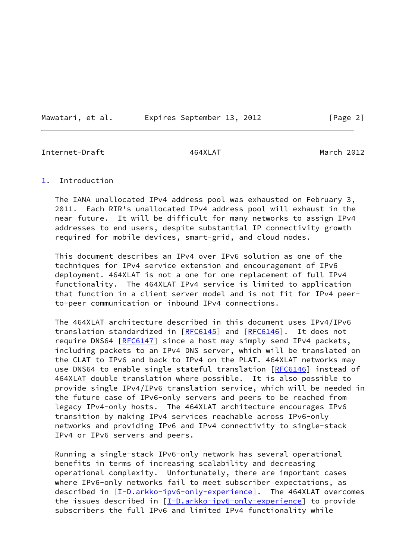Mawatari, et al. Expires September 13, 2012 [Page 2]

<span id="page-2-1"></span>Internet-Draft 164XLAT 164XLAT March 2012

<span id="page-2-0"></span>[1](#page-2-0). Introduction

 The IANA unallocated IPv4 address pool was exhausted on February 3, 2011. Each RIR's unallocated IPv4 address pool will exhaust in the near future. It will be difficult for many networks to assign IPv4 addresses to end users, despite substantial IP connectivity growth required for mobile devices, smart-grid, and cloud nodes.

 This document describes an IPv4 over IPv6 solution as one of the techniques for IPv4 service extension and encouragement of IPv6 deployment. 464XLAT is not a one for one replacement of full IPv4 functionality. The 464XLAT IPv4 service is limited to application that function in a client server model and is not fit for IPv4 peer to-peer communication or inbound IPv4 connections.

 The 464XLAT architecture described in this document uses IPv4/IPv6 translation standardized in [\[RFC6145](https://datatracker.ietf.org/doc/pdf/rfc6145)] and [[RFC6146](https://datatracker.ietf.org/doc/pdf/rfc6146)]. It does not require DNS64 [[RFC6147](https://datatracker.ietf.org/doc/pdf/rfc6147)] since a host may simply send IPv4 packets, including packets to an IPv4 DNS server, which will be translated on the CLAT to IPv6 and back to IPv4 on the PLAT. 464XLAT networks may use DNS64 to enable single stateful translation [\[RFC6146](https://datatracker.ietf.org/doc/pdf/rfc6146)] instead of 464XLAT double translation where possible. It is also possible to provide single IPv4/IPv6 translation service, which will be needed in the future case of IPv6-only servers and peers to be reached from legacy IPv4-only hosts. The 464XLAT architecture encourages IPv6 transition by making IPv4 services reachable across IPv6-only networks and providing IPv6 and IPv4 connectivity to single-stack IPv4 or IPv6 servers and peers.

 Running a single-stack IPv6-only network has several operational benefits in terms of increasing scalability and decreasing operational complexity. Unfortunately, there are important cases where IPv6-only networks fail to meet subscriber expectations, as described in [\[I-D.arkko-ipv6-only-experience](#page-14-5)]. The 464XLAT overcomes the issues described in [\[I-D.arkko-ipv6-only-experience](#page-14-5)] to provide subscribers the full IPv6 and limited IPv4 functionality while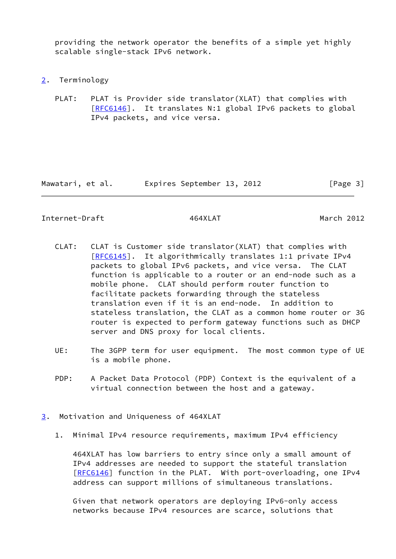providing the network operator the benefits of a simple yet highly scalable single-stack IPv6 network.

- <span id="page-3-0"></span>[2](#page-3-0). Terminology
	- PLAT: PLAT is Provider side translator(XLAT) that complies with [\[RFC6146](https://datatracker.ietf.org/doc/pdf/rfc6146)]. It translates N:1 global IPv6 packets to global IPv4 packets, and vice versa.

Mawatari, et al. 
Expires September 13, 2012
[Page 3]

# <span id="page-3-2"></span>Internet-Draft 164XLAT 164XLAT March 2012

- CLAT: CLAT is Customer side translator(XLAT) that complies with [\[RFC6145](https://datatracker.ietf.org/doc/pdf/rfc6145)]. It algorithmically translates 1:1 private IPv4 packets to global IPv6 packets, and vice versa. The CLAT function is applicable to a router or an end-node such as a mobile phone. CLAT should perform router function to facilitate packets forwarding through the stateless translation even if it is an end-node. In addition to stateless translation, the CLAT as a common home router or 3G router is expected to perform gateway functions such as DHCP server and DNS proxy for local clients.
- UE: The 3GPP term for user equipment. The most common type of UE is a mobile phone.
- PDP: A Packet Data Protocol (PDP) Context is the equivalent of a virtual connection between the host and a gateway.
- <span id="page-3-1"></span>[3](#page-3-1). Motivation and Uniqueness of 464XLAT
	- 1. Minimal IPv4 resource requirements, maximum IPv4 efficiency

 464XLAT has low barriers to entry since only a small amount of IPv4 addresses are needed to support the stateful translation [\[RFC6146](https://datatracker.ietf.org/doc/pdf/rfc6146)] function in the PLAT. With port-overloading, one IPv4 address can support millions of simultaneous translations.

 Given that network operators are deploying IPv6-only access networks because IPv4 resources are scarce, solutions that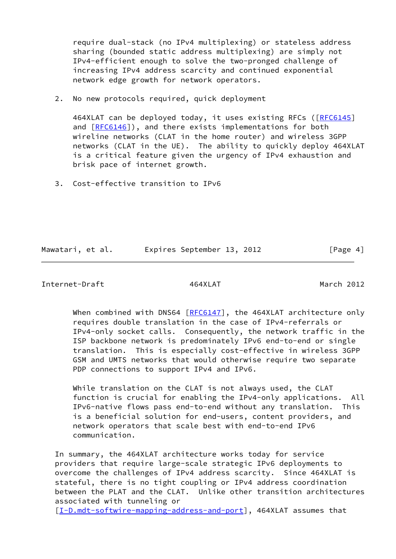require dual-stack (no IPv4 multiplexing) or stateless address sharing (bounded static address multiplexing) are simply not IPv4-efficient enough to solve the two-pronged challenge of increasing IPv4 address scarcity and continued exponential network edge growth for network operators.

2. No new protocols required, quick deployment

464XLAT can be deployed today, it uses existing RFCs ([[RFC6145](https://datatracker.ietf.org/doc/pdf/rfc6145)] and  $[REC6146]$ , and there exists implementations for both wireline networks (CLAT in the home router) and wireless 3GPP networks (CLAT in the UE). The ability to quickly deploy 464XLAT is a critical feature given the urgency of IPv4 exhaustion and brisk pace of internet growth.

3. Cost-effective transition to IPv6

Mawatari, et al. Expires September 13, 2012 [Page 4]

<span id="page-4-0"></span>Internet-Draft 464XLAT March 2012

When combined with DNS64 [\[RFC6147](https://datatracker.ietf.org/doc/pdf/rfc6147)], the 464XLAT architecture only requires double translation in the case of IPv4-referrals or IPv4-only socket calls. Consequently, the network traffic in the ISP backbone network is predominately IPv6 end-to-end or single translation. This is especially cost-effective in wireless 3GPP GSM and UMTS networks that would otherwise require two separate PDP connections to support IPv4 and IPv6.

 While translation on the CLAT is not always used, the CLAT function is crucial for enabling the IPv4-only applications. All IPv6-native flows pass end-to-end without any translation. This is a beneficial solution for end-users, content providers, and network operators that scale best with end-to-end IPv6 communication.

 In summary, the 464XLAT architecture works today for service providers that require large-scale strategic IPv6 deployments to overcome the challenges of IPv4 address scarcity. Since 464XLAT is stateful, there is no tight coupling or IPv4 address coordination between the PLAT and the CLAT. Unlike other transition architectures associated with tunneling or

[\[I-D.mdt-softwire-mapping-address-and-port](#page-15-1)], 464XLAT assumes that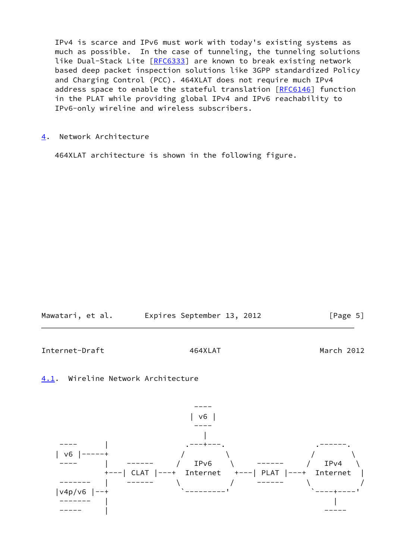IPv4 is scarce and IPv6 must work with today's existing systems as much as possible. In the case of tunneling, the tunneling solutions like Dual-Stack Lite [\[RFC6333](https://datatracker.ietf.org/doc/pdf/rfc6333)] are known to break existing network based deep packet inspection solutions like 3GPP standardized Policy and Charging Control (PCC). 464XLAT does not require much IPv4 address space to enable the stateful translation [\[RFC6146](https://datatracker.ietf.org/doc/pdf/rfc6146)] function in the PLAT while providing global IPv4 and IPv6 reachability to IPv6-only wireline and wireless subscribers.

<span id="page-5-0"></span>[4](#page-5-0). Network Architecture

464XLAT architecture is shown in the following figure.

| Mawatari, et al. |  | Expires September 13, 2012 |  | [Page 5] |
|------------------|--|----------------------------|--|----------|
|                  |  |                            |  |          |

<span id="page-5-2"></span>Internet-Draft 464XLAT March 2012

<span id="page-5-1"></span>

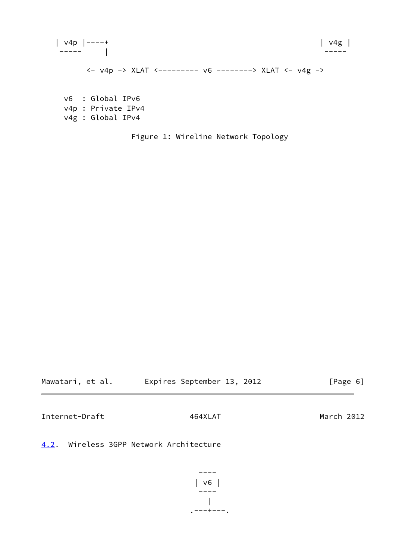| $-----$ | $v4p$  ----+                                                | V4g |
|---------|-------------------------------------------------------------|-----|
|         | <- v4p -> XLAT <-------- v6 --------> XLAT <- v4g ->        |     |
|         | v6 : Global IPv6<br>v4p : Private IPv4<br>v4g : Global IPv4 |     |
|         | Figure 1: Wireline Network Topology                         |     |

Mawatari, et al. Expires September 13, 2012 [Page 6]

<span id="page-6-1"></span>Internet-Draft 464XLAT March 2012

<span id="page-6-0"></span>[4.2](#page-6-0). Wireless 3GPP Network Architecture

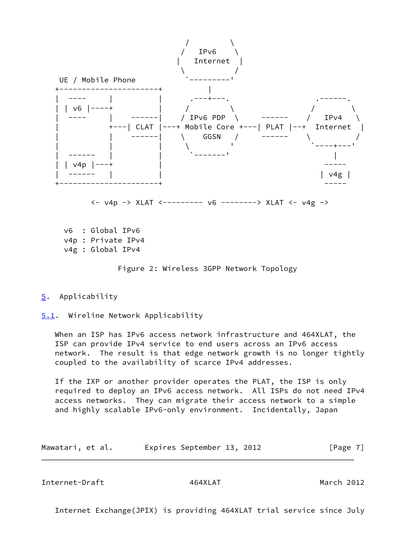

<- v4p -> XLAT <--------- v6 --------> XLAT <- v4g ->

 v6 : Global IPv6 v4p : Private IPv4 v4g : Global IPv4

Figure 2: Wireless 3GPP Network Topology

# <span id="page-7-0"></span>[5](#page-7-0). Applicability

<span id="page-7-1"></span>[5.1](#page-7-1). Wireline Network Applicability

 When an ISP has IPv6 access network infrastructure and 464XLAT, the ISP can provide IPv4 service to end users across an IPv6 access network. The result is that edge network growth is no longer tightly coupled to the availability of scarce IPv4 addresses.

 If the IXP or another provider operates the PLAT, the ISP is only required to deploy an IPv6 access network. All ISPs do not need IPv4 access networks. They can migrate their access network to a simple and highly scalable IPv6-only environment. Incidentally, Japan

| Mawatari, et al. |  | Expires September 13, 2012 |  |  | [Page 7] |  |
|------------------|--|----------------------------|--|--|----------|--|
|------------------|--|----------------------------|--|--|----------|--|

<span id="page-7-2"></span>Internet-Draft 464XLAT March 2012

Internet Exchange(JPIX) is providing 464XLAT trial service since July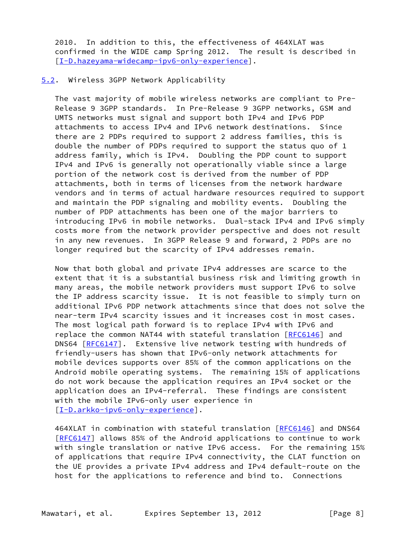2010. In addition to this, the effectiveness of 464XLAT was confirmed in the WIDE camp Spring 2012. The result is described in [\[I-D.hazeyama-widecamp-ipv6-only-experience\]](#page-14-6).

### <span id="page-8-0"></span>[5.2](#page-8-0). Wireless 3GPP Network Applicability

 The vast majority of mobile wireless networks are compliant to Pre- Release 9 3GPP standards. In Pre-Release 9 3GPP networks, GSM and UMTS networks must signal and support both IPv4 and IPv6 PDP attachments to access IPv4 and IPv6 network destinations. Since there are 2 PDPs required to support 2 address families, this is double the number of PDPs required to support the status quo of 1 address family, which is IPv4. Doubling the PDP count to support IPv4 and IPv6 is generally not operationally viable since a large portion of the network cost is derived from the number of PDP attachments, both in terms of licenses from the network hardware vendors and in terms of actual hardware resources required to support and maintain the PDP signaling and mobility events. Doubling the number of PDP attachments has been one of the major barriers to introducing IPv6 in mobile networks. Dual-stack IPv4 and IPv6 simply costs more from the network provider perspective and does not result in any new revenues. In 3GPP Release 9 and forward, 2 PDPs are no longer required but the scarcity of IPv4 addresses remain.

 Now that both global and private IPv4 addresses are scarce to the extent that it is a substantial business risk and limiting growth in many areas, the mobile network providers must support IPv6 to solve the IP address scarcity issue. It is not feasible to simply turn on additional IPv6 PDP network attachments since that does not solve the near-term IPv4 scarcity issues and it increases cost in most cases. The most logical path forward is to replace IPv4 with IPv6 and replace the common NAT44 with stateful translation [[RFC6146\]](https://datatracker.ietf.org/doc/pdf/rfc6146) and DNS64 [[RFC6147](https://datatracker.ietf.org/doc/pdf/rfc6147)]. Extensive live network testing with hundreds of friendly-users has shown that IPv6-only network attachments for mobile devices supports over 85% of the common applications on the Android mobile operating systems. The remaining 15% of applications do not work because the application requires an IPv4 socket or the application does an IPv4-referral. These findings are consistent with the mobile IPv6-only user experience in [\[I-D.arkko-ipv6-only-experience](#page-14-5)].

 464XLAT in combination with stateful translation [\[RFC6146](https://datatracker.ietf.org/doc/pdf/rfc6146)] and DNS64 [\[RFC6147](https://datatracker.ietf.org/doc/pdf/rfc6147)] allows 85% of the Android applications to continue to work with single translation or native IPv6 access. For the remaining 15% of applications that require IPv4 connectivity, the CLAT function on the UE provides a private IPv4 address and IPv4 default-route on the host for the applications to reference and bind to. Connections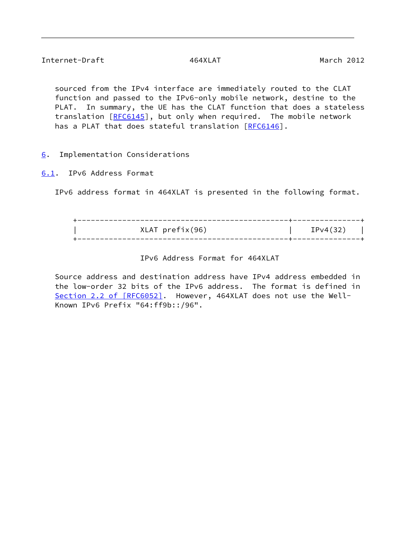<span id="page-9-1"></span> sourced from the IPv4 interface are immediately routed to the CLAT function and passed to the IPv6-only mobile network, destine to the PLAT. In summary, the UE has the CLAT function that does a stateless translation [\[RFC6145](https://datatracker.ietf.org/doc/pdf/rfc6145)], but only when required. The mobile network has a PLAT that does stateful translation [[RFC6146](https://datatracker.ietf.org/doc/pdf/rfc6146)].

<span id="page-9-0"></span>[6](#page-9-0). Implementation Considerations

<span id="page-9-2"></span>[6.1](#page-9-2). IPv6 Address Format

IPv6 address format in 464XLAT is presented in the following format.

| XLAT prefix(96) | IPv4(32) |  |
|-----------------|----------|--|
|                 |          |  |
|                 |          |  |

IPv6 Address Format for 464XLAT

 Source address and destination address have IPv4 address embedded in the low-order 32 bits of the IPv6 address. The format is defined in Section [2.2 of \[RFC6052\]](https://datatracker.ietf.org/doc/pdf/rfc6052#section-2.2). However, 464XLAT does not use the Well-Known IPv6 Prefix "64:ff9b::/96".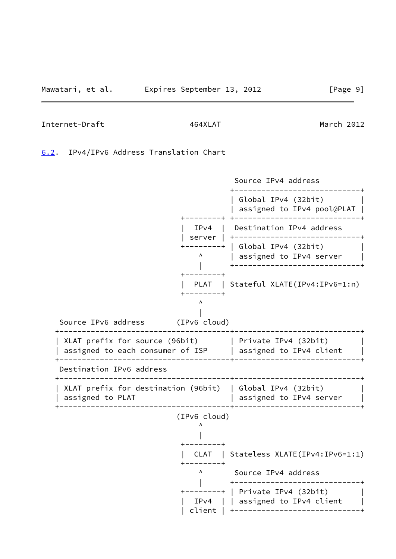<span id="page-10-1"></span>Internet-Draft 464XLAT March 2012

<span id="page-10-0"></span>[6.2](#page-10-0). IPv4/IPv6 Address Translation Chart

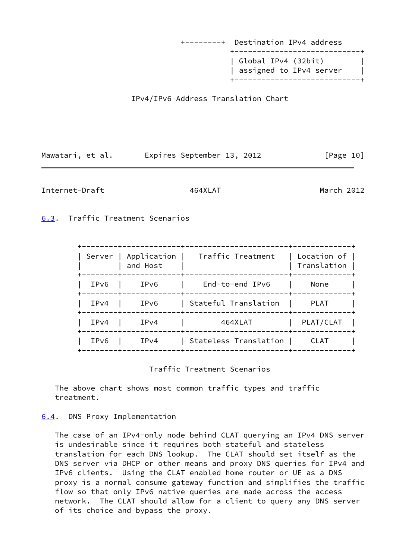| +--------+ Destination IPv4 address<br>-------------------------------- |  |  |  |
|-------------------------------------------------------------------------|--|--|--|
| Global IPv4 (32bit)<br>assigned to IPv4 server                          |  |  |  |

IPv4/IPv6 Address Translation Chart

| Mawatari, et al. | Expires September 13, 2012 |  | [Page 10] |
|------------------|----------------------------|--|-----------|
|------------------|----------------------------|--|-----------|

<span id="page-11-1"></span>Internet-Draft 464XLAT March 2012

<span id="page-11-0"></span>[6.3](#page-11-0). Traffic Treatment Scenarios

| Server           | Application<br>and Host | Traffic Treatment                           | Location of<br>Translation |
|------------------|-------------------------|---------------------------------------------|----------------------------|
| IPv6             | IP <sub>v6</sub>        | End-to-end IPv6                             | None                       |
| IPv4             | IP <sub>v6</sub>        | Stateful Translation                        | <b>PLAT</b>                |
| IPv4             | IPv4                    | 464XLAT                                     | PLAT/CLAT                  |
| IP <sub>v6</sub> | IPv4                    | Stateless Translation<br>-----------------+ | <b>CLAT</b>                |

Traffic Treatment Scenarios

 The above chart shows most common traffic types and traffic treatment.

# <span id="page-11-2"></span>[6.4](#page-11-2). DNS Proxy Implementation

 The case of an IPv4-only node behind CLAT querying an IPv4 DNS server is undesirable since it requires both stateful and stateless translation for each DNS lookup. The CLAT should set itself as the DNS server via DHCP or other means and proxy DNS queries for IPv4 and IPv6 clients. Using the CLAT enabled home router or UE as a DNS proxy is a normal consume gateway function and simplifies the traffic flow so that only IPv6 native queries are made across the access network. The CLAT should allow for a client to query any DNS server of its choice and bypass the proxy.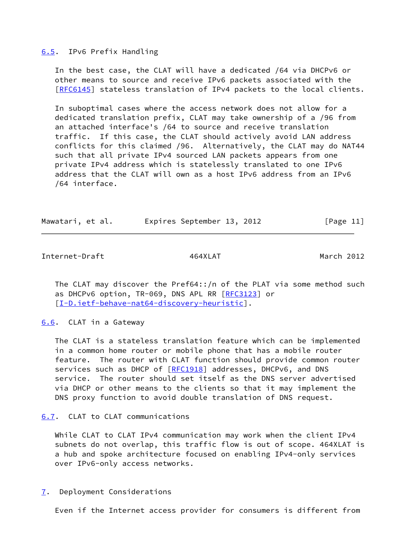#### <span id="page-12-0"></span>[6.5](#page-12-0). IPv6 Prefix Handling

 In the best case, the CLAT will have a dedicated /64 via DHCPv6 or other means to source and receive IPv6 packets associated with the [\[RFC6145](https://datatracker.ietf.org/doc/pdf/rfc6145)] stateless translation of IPv4 packets to the local clients.

 In suboptimal cases where the access network does not allow for a dedicated translation prefix, CLAT may take ownership of a /96 from an attached interface's /64 to source and receive translation traffic. If this case, the CLAT should actively avoid LAN address conflicts for this claimed /96. Alternatively, the CLAT may do NAT44 such that all private IPv4 sourced LAN packets appears from one private IPv4 address which is statelessly translated to one IPv6 address that the CLAT will own as a host IPv6 address from an IPv6 /64 interface.

| Mawatari, et al. |  | Expires September 13, 2012 |  | [Page 11] |  |
|------------------|--|----------------------------|--|-----------|--|
|                  |  |                            |  |           |  |

<span id="page-12-2"></span>Internet-Draft 464XLAT March 2012

 The CLAT may discover the Pref64::/n of the PLAT via some method such as DHCPv6 option, TR-069, DNS APL RR [\[RFC3123](https://datatracker.ietf.org/doc/pdf/rfc3123)] or [\[I-D.ietf-behave-nat64-discovery-heuristic](#page-15-2)].

<span id="page-12-1"></span>[6.6](#page-12-1). CLAT in a Gateway

 The CLAT is a stateless translation feature which can be implemented in a common home router or mobile phone that has a mobile router feature. The router with CLAT function should provide common router services such as DHCP of [\[RFC1918](https://datatracker.ietf.org/doc/pdf/rfc1918)] addresses, DHCPv6, and DNS service. The router should set itself as the DNS server advertised via DHCP or other means to the clients so that it may implement the DNS proxy function to avoid double translation of DNS request.

<span id="page-12-3"></span>[6.7](#page-12-3). CLAT to CLAT communications

 While CLAT to CLAT IPv4 communication may work when the client IPv4 subnets do not overlap, this traffic flow is out of scope. 464XLAT is a hub and spoke architecture focused on enabling IPv4-only services over IPv6-only access networks.

<span id="page-12-4"></span>[7](#page-12-4). Deployment Considerations

Even if the Internet access provider for consumers is different from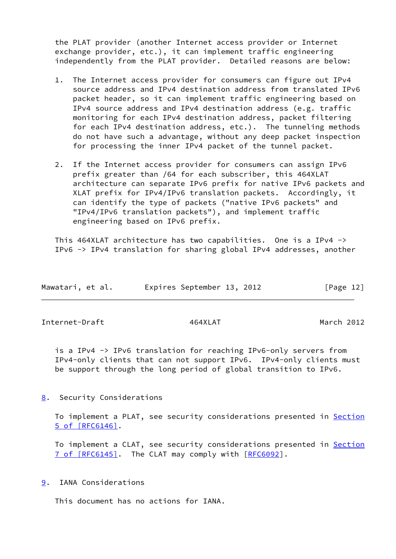the PLAT provider (another Internet access provider or Internet exchange provider, etc.), it can implement traffic engineering independently from the PLAT provider. Detailed reasons are below:

- 1. The Internet access provider for consumers can figure out IPv4 source address and IPv4 destination address from translated IPv6 packet header, so it can implement traffic engineering based on IPv4 source address and IPv4 destination address (e.g. traffic monitoring for each IPv4 destination address, packet filtering for each IPv4 destination address, etc.). The tunneling methods do not have such a advantage, without any deep packet inspection for processing the inner IPv4 packet of the tunnel packet.
- 2. If the Internet access provider for consumers can assign IPv6 prefix greater than /64 for each subscriber, this 464XLAT architecture can separate IPv6 prefix for native IPv6 packets and XLAT prefix for IPv4/IPv6 translation packets. Accordingly, it can identify the type of packets ("native IPv6 packets" and "IPv4/IPv6 translation packets"), and implement traffic engineering based on IPv6 prefix.

 This 464XLAT architecture has two capabilities. One is a IPv4 -> IPv6 -> IPv4 translation for sharing global IPv4 addresses, another

| Mawatari, et al. | Expires September 13, 2012 | [Page 12] |
|------------------|----------------------------|-----------|
|------------------|----------------------------|-----------|

<span id="page-13-1"></span>Internet-Draft 464XLAT March 2012

 is a IPv4 -> IPv6 translation for reaching IPv6-only servers from IPv4-only clients that can not support IPv6. IPv4-only clients must be support through the long period of global transition to IPv6.

<span id="page-13-0"></span>[8](#page-13-0). Security Considerations

To implement a PLAT, see security considerations presented in [Section](https://datatracker.ietf.org/doc/pdf/rfc6146#section-5) [5 of \[RFC6146\]](https://datatracker.ietf.org/doc/pdf/rfc6146#section-5).

To implement a CLAT, see security considerations presented in [Section](https://datatracker.ietf.org/doc/pdf/rfc6145#section-7) [7 of \[RFC6145\]](https://datatracker.ietf.org/doc/pdf/rfc6145#section-7). The CLAT may comply with [[RFC6092](https://datatracker.ietf.org/doc/pdf/rfc6092)].

<span id="page-13-2"></span>[9](#page-13-2). IANA Considerations

This document has no actions for IANA.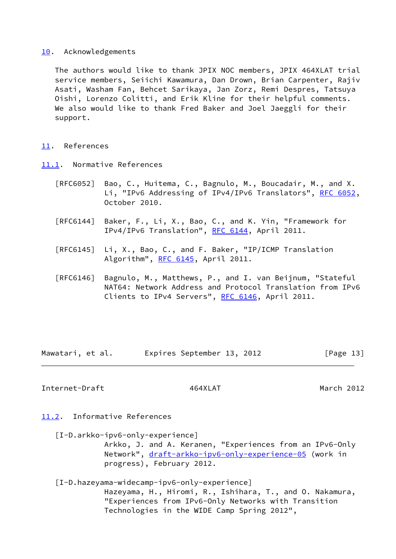### <span id="page-14-0"></span>[10.](#page-14-0) Acknowledgements

 The authors would like to thank JPIX NOC members, JPIX 464XLAT trial service members, Seiichi Kawamura, Dan Drown, Brian Carpenter, Rajiv Asati, Washam Fan, Behcet Sarikaya, Jan Zorz, Remi Despres, Tatsuya Oishi, Lorenzo Colitti, and Erik Kline for their helpful comments. We also would like to thank Fred Baker and Joel Jaeggli for their support.

### <span id="page-14-1"></span>[11.](#page-14-1) References

- <span id="page-14-2"></span>[11.1](#page-14-2). Normative References
	- [RFC6052] Bao, C., Huitema, C., Bagnulo, M., Boucadair, M., and X. Li, "IPv6 Addressing of IPv4/IPv6 Translators", [RFC 6052,](https://datatracker.ietf.org/doc/pdf/rfc6052) October 2010.
	- [RFC6144] Baker, F., Li, X., Bao, C., and K. Yin, "Framework for IPv4/IPv6 Translation", [RFC 6144,](https://datatracker.ietf.org/doc/pdf/rfc6144) April 2011.
	- [RFC6145] Li, X., Bao, C., and F. Baker, "IP/ICMP Translation Algorithm", [RFC 6145,](https://datatracker.ietf.org/doc/pdf/rfc6145) April 2011.
	- [RFC6146] Bagnulo, M., Matthews, P., and I. van Beijnum, "Stateful NAT64: Network Address and Protocol Translation from IPv6 Clients to IPv4 Servers", [RFC 6146](https://datatracker.ietf.org/doc/pdf/rfc6146), April 2011.

| Mawatari, et al. | Expires September 13, 2012 | [Page 13] |
|------------------|----------------------------|-----------|
|------------------|----------------------------|-----------|

# <span id="page-14-4"></span>Internet-Draft 464XLAT March 2012

<span id="page-14-3"></span>[11.2](#page-14-3). Informative References

<span id="page-14-5"></span> [I-D.arkko-ipv6-only-experience] Arkko, J. and A. Keranen, "Experiences from an IPv6-Only Network", [draft-arkko-ipv6-only-experience-05](https://datatracker.ietf.org/doc/pdf/draft-arkko-ipv6-only-experience-05) (work in progress), February 2012.

<span id="page-14-6"></span> [I-D.hazeyama-widecamp-ipv6-only-experience] Hazeyama, H., Hiromi, R., Ishihara, T., and O. Nakamura, "Experiences from IPv6-Only Networks with Transition Technologies in the WIDE Camp Spring 2012",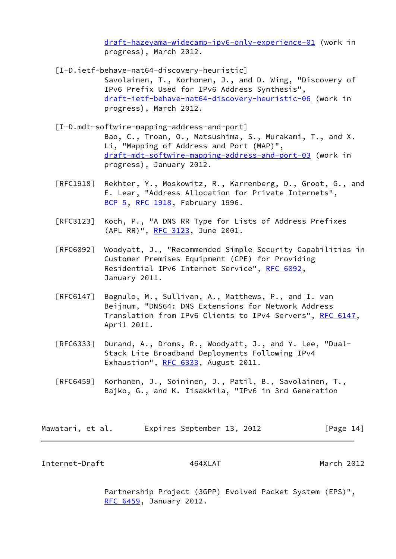[draft-hazeyama-widecamp-ipv6-only-experience-01](https://datatracker.ietf.org/doc/pdf/draft-hazeyama-widecamp-ipv6-only-experience-01) (work in progress), March 2012.

- <span id="page-15-2"></span> [I-D.ietf-behave-nat64-discovery-heuristic] Savolainen, T., Korhonen, J., and D. Wing, "Discovery of IPv6 Prefix Used for IPv6 Address Synthesis", [draft-ietf-behave-nat64-discovery-heuristic-06](https://datatracker.ietf.org/doc/pdf/draft-ietf-behave-nat64-discovery-heuristic-06) (work in progress), March 2012.
- <span id="page-15-1"></span> [I-D.mdt-softwire-mapping-address-and-port] Bao, C., Troan, O., Matsushima, S., Murakami, T., and X. Li, "Mapping of Address and Port (MAP)", [draft-mdt-softwire-mapping-address-and-port-03](https://datatracker.ietf.org/doc/pdf/draft-mdt-softwire-mapping-address-and-port-03) (work in progress), January 2012.
- [RFC1918] Rekhter, Y., Moskowitz, R., Karrenberg, D., Groot, G., and E. Lear, "Address Allocation for Private Internets", [BCP 5,](https://datatracker.ietf.org/doc/pdf/bcp5) [RFC 1918](https://datatracker.ietf.org/doc/pdf/rfc1918), February 1996.
- [RFC3123] Koch, P., "A DNS RR Type for Lists of Address Prefixes (APL RR)", [RFC 3123](https://datatracker.ietf.org/doc/pdf/rfc3123), June 2001.
- [RFC6092] Woodyatt, J., "Recommended Simple Security Capabilities in Customer Premises Equipment (CPE) for Providing Residential IPv6 Internet Service", [RFC 6092,](https://datatracker.ietf.org/doc/pdf/rfc6092) January 2011.
- [RFC6147] Bagnulo, M., Sullivan, A., Matthews, P., and I. van Beijnum, "DNS64: DNS Extensions for Network Address Translation from IPv6 Clients to IPv4 Servers", [RFC 6147,](https://datatracker.ietf.org/doc/pdf/rfc6147) April 2011.
- [RFC6333] Durand, A., Droms, R., Woodyatt, J., and Y. Lee, "Dual- Stack Lite Broadband Deployments Following IPv4 Exhaustion", [RFC 6333](https://datatracker.ietf.org/doc/pdf/rfc6333), August 2011.
- [RFC6459] Korhonen, J., Soininen, J., Patil, B., Savolainen, T., Bajko, G., and K. Iisakkila, "IPv6 in 3rd Generation

Mawatari, et al. Expires September 13, 2012 [Page 14]

<span id="page-15-0"></span>Internet-Draft 464XLAT March 2012

 Partnership Project (3GPP) Evolved Packet System (EPS)", [RFC 6459,](https://datatracker.ietf.org/doc/pdf/rfc6459) January 2012.